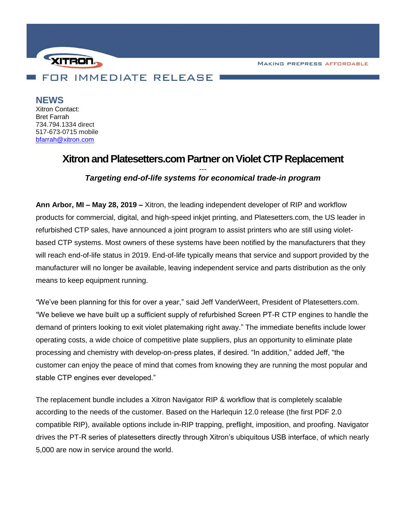**MAKING PREPRESS AFFORDABLE** 



**NEWS** Xitron Contact: Bret Farrah 734.794.1334 direct 517-673-0715 mobile [bfarrah@xitron.com](mailto:bfarrah@xitron.com)

# **Xitron and Platesetters.com Partner on Violet CTP Replacement**

## *--- Targeting end-of-life systems for economical trade-in program*

**Ann Arbor, MI – May 28, 2019 –** Xitron, the leading independent developer of RIP and workflow products for commercial, digital, and high-speed inkjet printing, and Platesetters.com, the US leader in refurbished CTP sales, have announced a joint program to assist printers who are still using violetbased CTP systems. Most owners of these systems have been notified by the manufacturers that they will reach end-of-life status in 2019. End-of-life typically means that service and support provided by the manufacturer will no longer be available, leaving independent service and parts distribution as the only means to keep equipment running.

"We've been planning for this for over a year," said Jeff VanderWeert, President of Platesetters.com. "We believe we have built up a sufficient supply of refurbished Screen PT-R CTP engines to handle the demand of printers looking to exit violet platemaking right away." The immediate benefits include lower operating costs, a wide choice of competitive plate suppliers, plus an opportunity to eliminate plate processing and chemistry with develop-on-press plates, if desired. "In addition," added Jeff, "the customer can enjoy the peace of mind that comes from knowing they are running the most popular and stable CTP engines ever developed."

The replacement bundle includes a Xitron Navigator RIP & workflow that is completely scalable according to the needs of the customer. Based on the Harlequin 12.0 release (the first PDF 2.0 compatible RIP), available options include in-RIP trapping, preflight, imposition, and proofing. Navigator drives the PT-R series of platesetters directly through Xitron's ubiquitous USB interface, of which nearly 5,000 are now in service around the world.